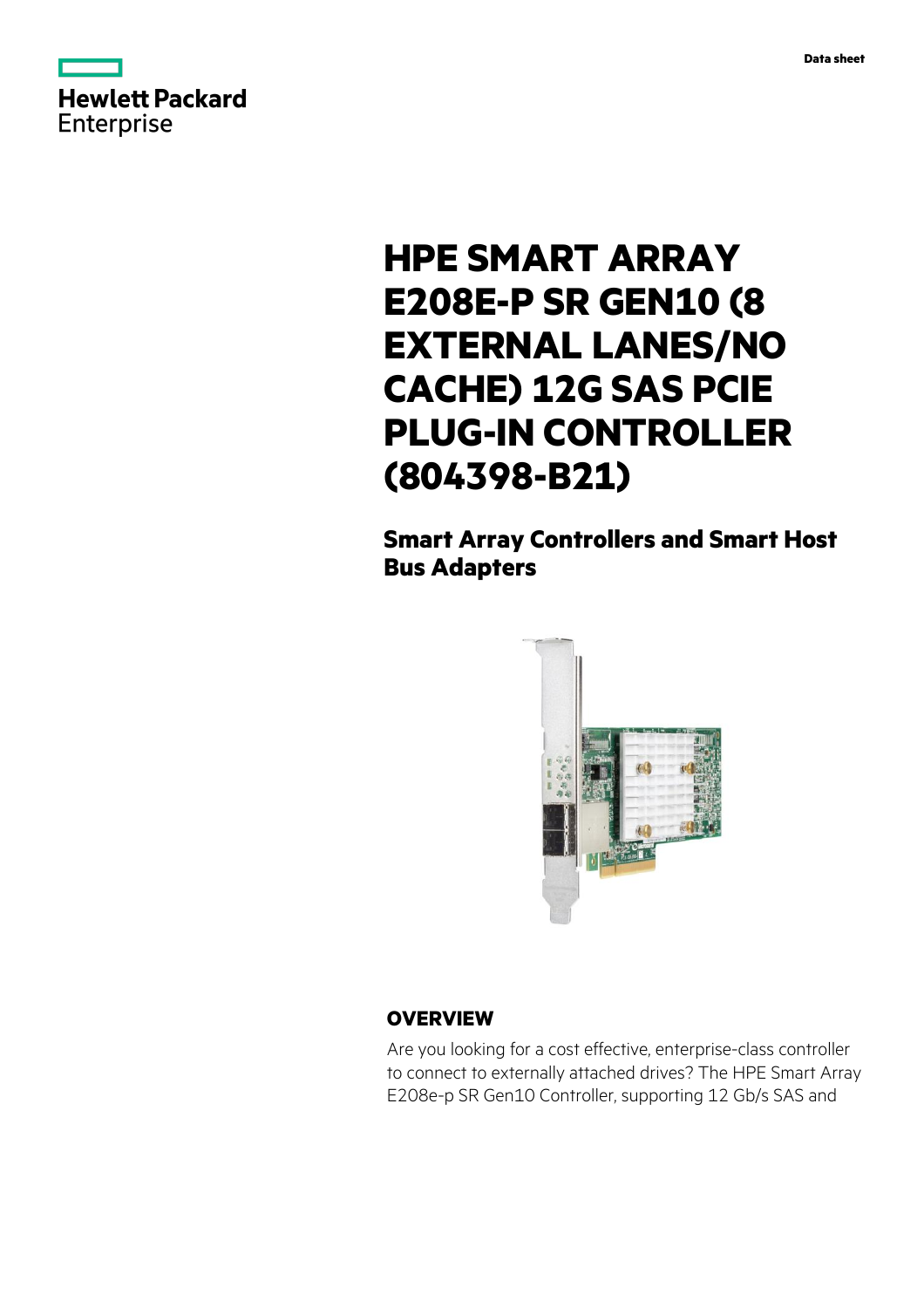



# **HPE SMART ARRAY E208E-P SR GEN10 (8 EXTERNAL LANES/NO CACHE) 12G SAS PCIE PLUG-IN CONTROLLER (804398-B21)**

# **Smart Array Controllers and Smart Host Bus Adapters**



## **OVERVIEW**

Are you looking for a cost effective, enterprise-class controller to connect to externally attached drives? The HPE Smart Array E208e-p SR Gen10 Controller, supporting 12 Gb/s SAS and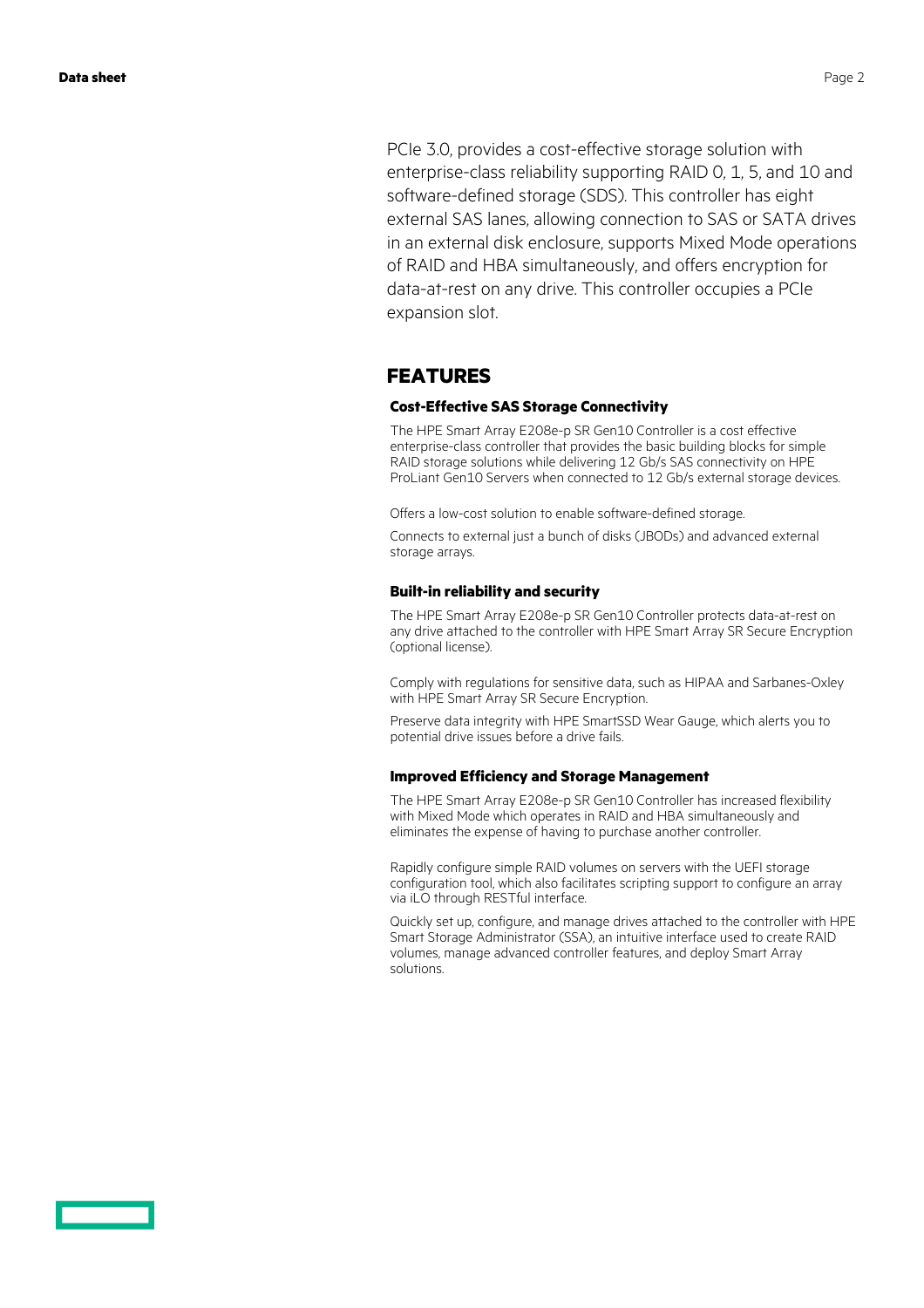PCIe 3.0, provides a cost-effective storage solution with enterprise-class reliability supporting RAID 0, 1, 5, and 10 and software-defined storage (SDS). This controller has eight external SAS lanes, allowing connection to SAS or SATA drives in an external disk enclosure, supports Mixed Mode operations of RAID and HBA simultaneously, and offers encryption for data-at-rest on any drive. This controller occupies a PCIe expansion slot.

#### **FEATURES**

#### **Cost-Effective SAS Storage Connectivity**

The HPE Smart Array E208e-p SR Gen10 Controller is a cost effective enterprise-class controller that provides the basic building blocks for simple RAID storage solutions while delivering 12 Gb/s SAS connectivity on HPE ProLiant Gen10 Servers when connected to 12 Gb/s external storage devices.

Offers a low-cost solution to enable software-defined storage.

Connects to external just a bunch of disks (JBODs) and advanced external storage arrays.

#### **Built-in reliability and security**

The HPE Smart Array E208e-p SR Gen10 Controller protects data-at-rest on any drive attached to the controller with HPE Smart Array SR Secure Encryption (optional license).

Comply with regulations for sensitive data, such as HIPAA and Sarbanes-Oxley with HPE Smart Array SR Secure Encryption.

Preserve data integrity with HPE SmartSSD Wear Gauge, which alerts you to potential drive issues before a drive fails.

#### **Improved Efficiency and Storage Management**

The HPE Smart Array E208e-p SR Gen10 Controller has increased flexibility with Mixed Mode which operates in RAID and HBA simultaneously and eliminates the expense of having to purchase another controller.

Rapidly configure simple RAID volumes on servers with the UEFI storage configuration tool, which also facilitates scripting support to configure an array via iLO through RESTful interface.

Quickly set up, configure, and manage drives attached to the controller with HPE Smart Storage Administrator (SSA), an intuitive interface used to create RAID volumes, manage advanced controller features, and deploy Smart Array solutions.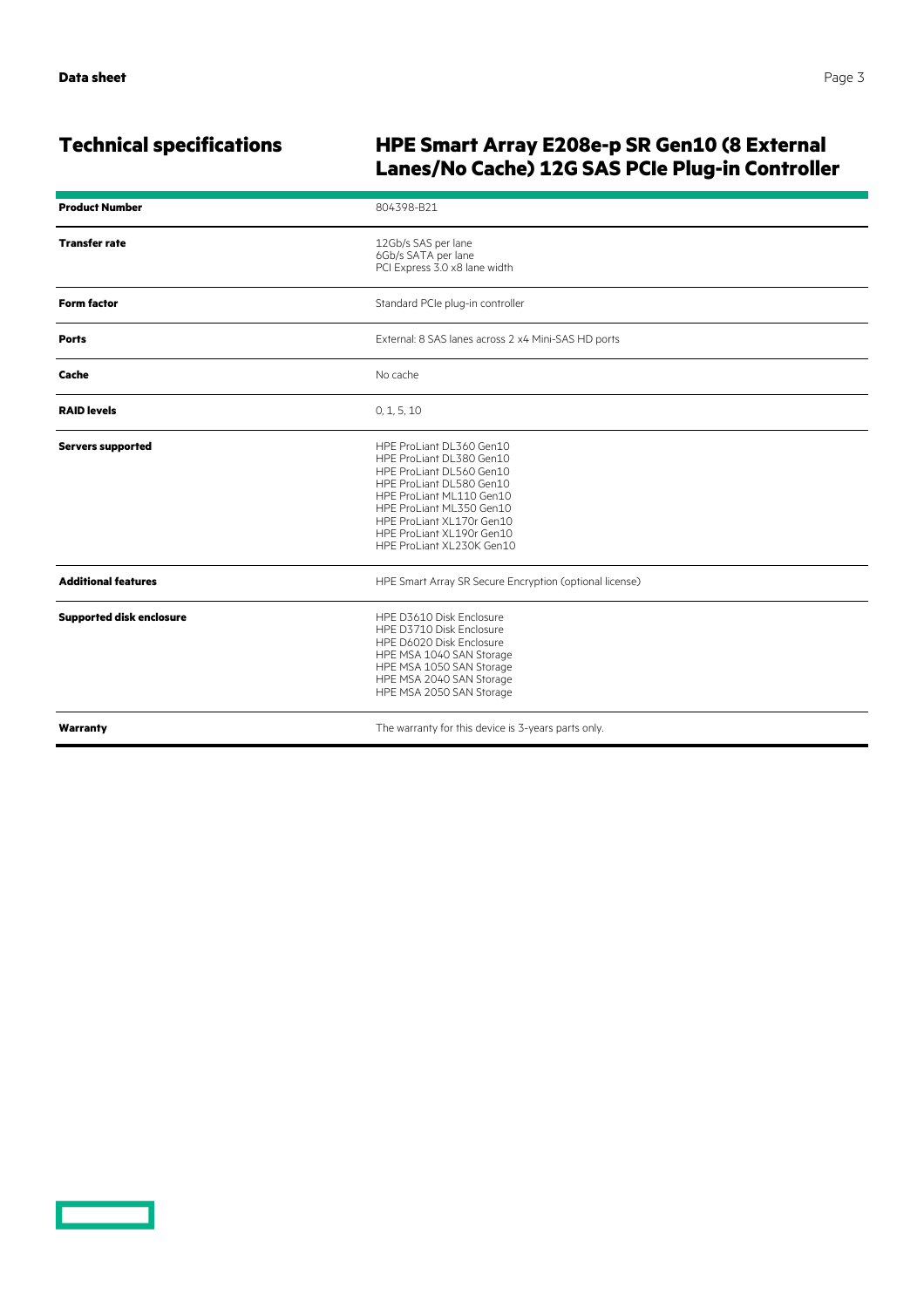# **Technical specifications HPE Smart Array E208e-p SR Gen10 (8 External Lanes/No Cache) 12G SAS PCIe Plug-in Controller**

| <b>Product Number</b>           | 804398-B21                                                                                                                                                                                                                                                  |
|---------------------------------|-------------------------------------------------------------------------------------------------------------------------------------------------------------------------------------------------------------------------------------------------------------|
| <b>Transfer rate</b>            | 12Gb/s SAS per lane<br>6Gb/s SATA per lane<br>PCI Express 3.0 x8 lane width                                                                                                                                                                                 |
| <b>Form factor</b>              | Standard PCIe plug-in controller                                                                                                                                                                                                                            |
| <b>Ports</b>                    | External: 8 SAS lanes across 2 x4 Mini-SAS HD ports                                                                                                                                                                                                         |
| Cache                           | No cache                                                                                                                                                                                                                                                    |
| <b>RAID levels</b>              | 0, 1, 5, 10                                                                                                                                                                                                                                                 |
| <b>Servers supported</b>        | HPE ProLiant DL360 Gen10<br>HPE ProLiant DL380 Gen10<br>HPE ProLiant DL560 Gen10<br>HPE ProLiant DL580 Gen10<br>HPE ProLiant ML110 Gen10<br>HPE ProLiant ML350 Gen10<br>HPE ProLiant XL170r Gen10<br>HPE ProLiant XL190r Gen10<br>HPE ProLiant XL230K Gen10 |
| <b>Additional features</b>      | HPE Smart Array SR Secure Encryption (optional license)                                                                                                                                                                                                     |
| <b>Supported disk enclosure</b> | HPE D3610 Disk Enclosure<br>HPE D3710 Disk Enclosure<br>HPE D6020 Disk Enclosure<br>HPE MSA 1040 SAN Storage<br>HPE MSA 1050 SAN Storage<br>HPE MSA 2040 SAN Storage<br>HPE MSA 2050 SAN Storage                                                            |
| Warranty                        | The warranty for this device is 3-years parts only.                                                                                                                                                                                                         |